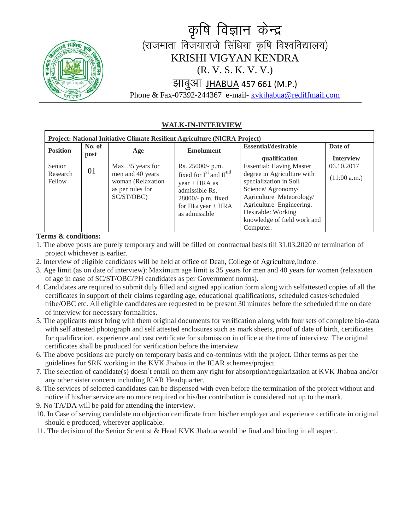

# कृषि विज्ञान केन्द्र (राजमाता विजयाराजे सिंधिया कृषि विश्वविद्यालय) KRISHI VIGYAN KENDRA (R. V. S. K. V. V.) झाबुआ JHABUA 457 661 (M.P.)

Phone & Fax-07392-244367 e-mail- [kvkjhabua@rediffmail.com](mailto:kvkjhabua@rediffmailcom)

#### **WALK-IN-INTERVIEW**

| <b>Project: National Initiative Climate Resilient Agriculture (NICRA Project)</b> |                |                                                                         |                                                                                                                                          |                                                                                                                                                                                                      |                  |  |  |  |  |  |  |  |  |
|-----------------------------------------------------------------------------------|----------------|-------------------------------------------------------------------------|------------------------------------------------------------------------------------------------------------------------------------------|------------------------------------------------------------------------------------------------------------------------------------------------------------------------------------------------------|------------------|--|--|--|--|--|--|--|--|
| <b>Position</b>                                                                   | No. of<br>post | Age                                                                     | <b>Emolument</b>                                                                                                                         | <b>Essential/desirable</b>                                                                                                                                                                           | Date of          |  |  |  |  |  |  |  |  |
|                                                                                   |                |                                                                         |                                                                                                                                          | qualification                                                                                                                                                                                        | <b>Interview</b> |  |  |  |  |  |  |  |  |
| Senior                                                                            |                | Max. 35 years for                                                       | Rs. 25000/- p.m.                                                                                                                         | <b>Essential: Having Master</b>                                                                                                                                                                      | 06.10.2017       |  |  |  |  |  |  |  |  |
| Research<br>Fellow                                                                | 01             | men and 40 years<br>woman (Relaxation<br>as per rules for<br>SC/ST/OBC) | fixed for $I^{st}$ and $II^{nd}$<br>$year + HRA$ as<br>admissible Rs.<br>$28000/-$ p.m. fixed<br>for IIIrd year $+ HRA$<br>as admissible | degree in Agriculture with<br>specialization in Soil<br>Science/ Agronomy/<br>Agriculture Meteorology/<br>Agriculture Engineering.<br>Desirable: Working<br>knowledge of field work and<br>Computer. | (11:00 a.m.)     |  |  |  |  |  |  |  |  |

#### **Terms & conditions:**

- 1. The above posts are purely temporary and will be filled on contractual basis till 31.03.2020 or termination of project whichever is earlier.
- 2. Interview of eligible candidates will be held at office of Dean, College of Agriculture,Indore.
- 3. Age limit (as on date of interview): Maximum age limit is 35 years for men and 40 years for women (relaxation of age in case of SC/ST/OBC/PH candidates as per Government norms).
- 4. Candidates are required to submit duly filled and signed application form along with selfattested copies of all the certificates in support of their claims regarding age, educational qualifications, scheduled castes/scheduled tribe/OBC etc. All eligible candidates are requested to be present 30 minutes before the scheduled time on date of interview for necessary formalities.
- 5. The applicants must bring with them original documents for verification along with four sets of complete bio-data with self attested photograph and self attested enclosures such as mark sheets, proof of date of birth, certificates for qualification, experience and cast certificate for submission in office at the time of interview. The original certificates shall be produced for verification before the interview
- 6. The above positions are purely on temporary basis and co-terminus with the project. Other terms as per the guidelines for SRK working in the KVK Jhabua in the ICAR schemes/project.
- 7. The selection of candidate(s) doesn't entail on them any right for absorption/regularization at KVK Jhabua and/or any other sister concern including ICAR Headquarter.
- 8. The services of selected candidates can be dispensed with even before the termination of the project without and notice if his/her service are no more required or his/her contribution is considered not up to the mark.
- 9. No TA/DA will be paid for attending the interview.
- 10. In Case of serving candidate no objection certificate from his/her employer and experience certificate in original should e produced, wherever applicable.
- 11. The decision of the Senior Scientist & Head KVK Jhabua would be final and binding in all aspect.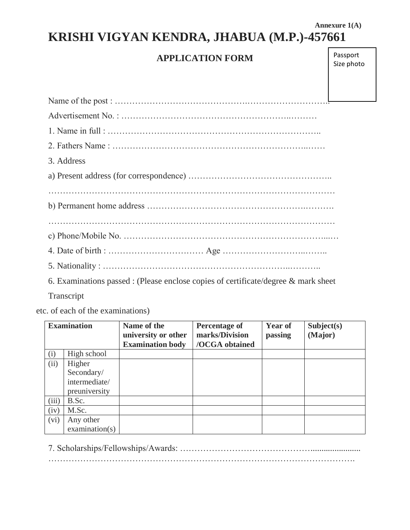### **Annexure 1(A) KRISHI VIGYAN KENDRA, JHABUA (M.P.)-457661**

### **APPLICATION FORM**

Passport Size photo

| 3. Address                                                                        |  |
|-----------------------------------------------------------------------------------|--|
|                                                                                   |  |
|                                                                                   |  |
|                                                                                   |  |
|                                                                                   |  |
|                                                                                   |  |
|                                                                                   |  |
|                                                                                   |  |
| 6 Examinations nessed: (Dlesse anglese service of equitizate degrees & montespect |  |

6. Examinations passed : (Please enclose copies of certificate/degree & mark sheet

Transcript

etc. of each of the examinations)

| <b>Examination</b> |                | Name of the<br>university or other | <b>Percentage of</b><br>marks/Division | <b>Year of</b><br>passing | Subject(s)<br>(Major) |
|--------------------|----------------|------------------------------------|----------------------------------------|---------------------------|-----------------------|
|                    |                | <b>Examination body</b>            | /OCGA obtained                         |                           |                       |
| (i)                | High school    |                                    |                                        |                           |                       |
| (ii)               | Higher         |                                    |                                        |                           |                       |
| Secondary/         |                |                                    |                                        |                           |                       |
| intermediate/      |                |                                    |                                        |                           |                       |
| preuniversity      |                |                                    |                                        |                           |                       |
| (iii)              | B.Sc.          |                                    |                                        |                           |                       |
| (iv)               | M.Sc.          |                                    |                                        |                           |                       |
| (vi)<br>Any other  |                |                                    |                                        |                           |                       |
|                    | examination(s) |                                    |                                        |                           |                       |

7. Scholarships/Fellowships/Awards: ………………………………………....................... …………………………………………………………………………………………….